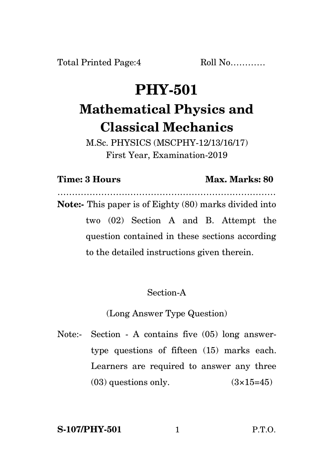Total Printed Page: 4 Roll No............

# **PHY-501 Mathematical Physics and Classical Mechanics**

M.Sc. PHYSICS (MSCPHY-12/13/16/17) First Year, Examination-2019

# **Time: 3 Hours Max. Marks: 80**

………………………………………………………………… **Note:-** This paper is of Eighty (80) marks divided into two (02) Section A and B. Attempt the question contained in these sections according to the detailed instructions given therein.

# Section-A

(Long Answer Type Question)

Note:- Section - A contains five (05) long answertype questions of fifteen (15) marks each. Learners are required to answer any three  $(03)$  questions only.  $(3\times15=45)$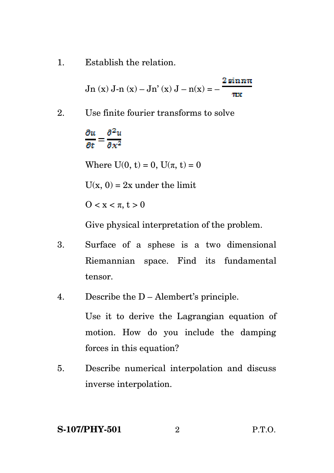1. Establish the relation.

$$
Jn\left(x\right)J-n\left(x\right)-Jn'\left(x\right)J-n(x)=-\frac{2\sin n\pi}{\pi x}
$$

2. Use finite fourier transforms to solve

# $\partial u$   $\partial^2 u$  $\frac{1}{\partial t} = \frac{1}{\partial x^2}$

Where  $U(0, t) = 0$ ,  $U(\pi, t) = 0$ 

 $U(x, 0) = 2x$  under the limit

 $0 < x < π, t > 0$ 

Give physical interpretation of the problem.

- 3. Surface of a sphese is a two dimensional Riemannian space. Find its fundamental tensor.
- 4. Describe the D Alembert's principle.

Use it to derive the Lagrangian equation of motion. How do you include the damping forces in this equation?

5. Describe numerical interpolation and discuss inverse interpolation.

#### **S-107/PHY-501** 2 P.T.O.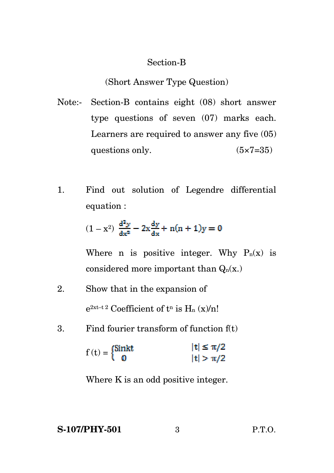## Section-B

## (Short Answer Type Question)

- Note:- Section-B contains eight (08) short answer type questions of seven (07) marks each. Learners are required to answer any five (05) questions only.  $(5 \times 7 = 35)$
- 1. Find out solution of Legendre differential equation :

$$
(1-x^2)\ \frac{d^2y}{dx^2}-2x\frac{dy}{dx}+n(n+1)y=0
$$

Where n is positive integer. Why  $P_n(x)$  is considered more important than  $Q_n(x)$ .

- 2. Show that in the expansion of  $e^{2xt-t\,2}$  Coefficient of  $t^n$  is  $H_n(x)/n!$
- 3. Find fourier transform of function f(t)

$$
f(t) = \begin{cases} \text{Sink} & |t| \le \pi/2 \\ 0 & |t| > \pi/2 \end{cases}
$$

Where K is an odd positive integer.

**S-107/PHY-501** 3 P.T.O.